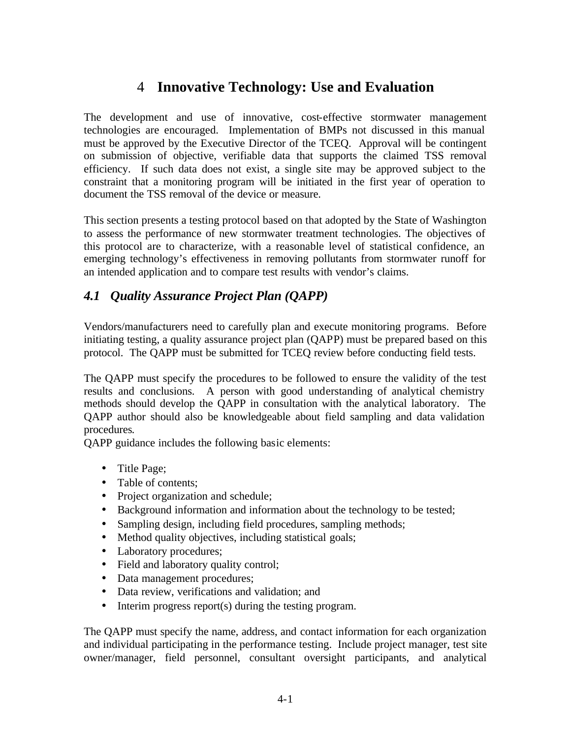# 4 **Innovative Technology: Use and Evaluation**

The development and use of innovative, cost-effective stormwater management technologies are encouraged. Implementation of BMPs not discussed in this manual must be approved by the Executive Director of the TCEQ. Approval will be contingent on submission of objective, verifiable data that supports the claimed TSS removal efficiency. If such data does not exist, a single site may be approved subject to the constraint that a monitoring program will be initiated in the first year of operation to document the TSS removal of the device or measure.

This section presents a testing protocol based on that adopted by the State of Washington to assess the performance of new stormwater treatment technologies. The objectives of this protocol are to characterize, with a reasonable level of statistical confidence, an emerging technology's effectiveness in removing pollutants from stormwater runoff for an intended application and to compare test results with vendor's claims.

# *4.1 Quality Assurance Project Plan (QAPP)*

Vendors/manufacturers need to carefully plan and execute monitoring programs. Before initiating testing, a quality assurance project plan (QAPP) must be prepared based on this protocol. The QAPP must be submitted for TCEQ review before conducting field tests.

The QAPP must specify the procedures to be followed to ensure the validity of the test results and conclusions. A person with good understanding of analytical chemistry methods should develop the QAPP in consultation with the analytical laboratory. The QAPP author should also be knowledgeable about field sampling and data validation procedures*.* 

QAPP guidance includes the following basic elements:

- Title Page;
- Table of contents;
- Project organization and schedule;
- Background information and information about the technology to be tested;
- Sampling design, including field procedures, sampling methods;
- Method quality objectives, including statistical goals;
- Laboratory procedures;
- Field and laboratory quality control;
- Data management procedures;
- Data review, verifications and validation; and
- Interim progress report(s) during the testing program.

The QAPP must specify the name, address, and contact information for each organization and individual participating in the performance testing. Include project manager, test site owner/manager, field personnel, consultant oversight participants, and analytical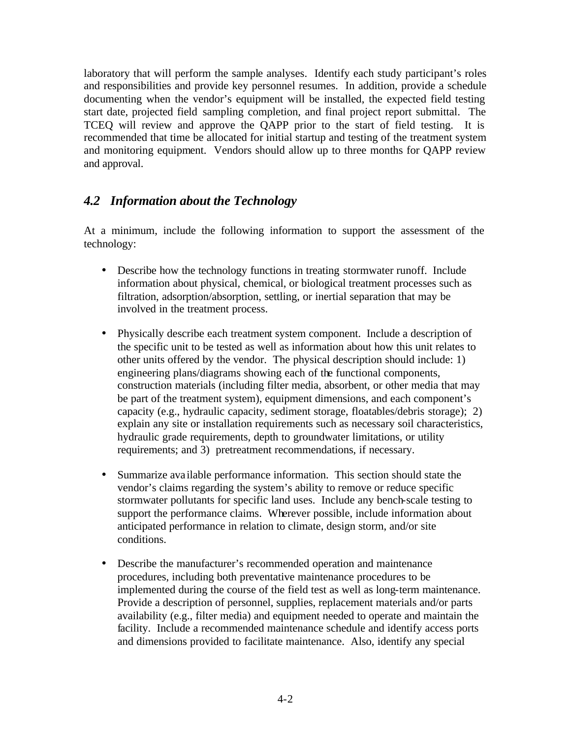laboratory that will perform the sample analyses. Identify each study participant's roles and responsibilities and provide key personnel resumes. In addition, provide a schedule documenting when the vendor's equipment will be installed, the expected field testing start date, projected field sampling completion, and final project report submittal. The TCEQ will review and approve the QAPP prior to the start of field testing. It is recommended that time be allocated for initial startup and testing of the treatment system and monitoring equipment. Vendors should allow up to three months for QAPP review and approval.

## *4.2 Information about the Technology*

At a minimum, include the following information to support the assessment of the technology:

- Describe how the technology functions in treating stormwater runoff. Include information about physical, chemical, or biological treatment processes such as filtration, adsorption/absorption, settling, or inertial separation that may be involved in the treatment process.
- Physically describe each treatment system component. Include a description of the specific unit to be tested as well as information about how this unit relates to other units offered by the vendor. The physical description should include: 1) engineering plans/diagrams showing each of the functional components, construction materials (including filter media, absorbent, or other media that may be part of the treatment system), equipment dimensions, and each component's capacity (e.g., hydraulic capacity, sediment storage, floatables/debris storage); 2) explain any site or installation requirements such as necessary soil characteristics, hydraulic grade requirements, depth to groundwater limitations, or utility requirements; and 3) pretreatment recommendations, if necessary.
- Summarize ava ilable performance information. This section should state the vendor's claims regarding the system's ability to remove or reduce specific stormwater pollutants for specific land uses. Include any bench-scale testing to support the performance claims. Wherever possible, include information about anticipated performance in relation to climate, design storm, and/or site conditions.
- Describe the manufacturer's recommended operation and maintenance procedures, including both preventative maintenance procedures to be implemented during the course of the field test as well as long-term maintenance. Provide a description of personnel, supplies, replacement materials and/or parts availability (e.g., filter media) and equipment needed to operate and maintain the facility. Include a recommended maintenance schedule and identify access ports and dimensions provided to facilitate maintenance. Also, identify any special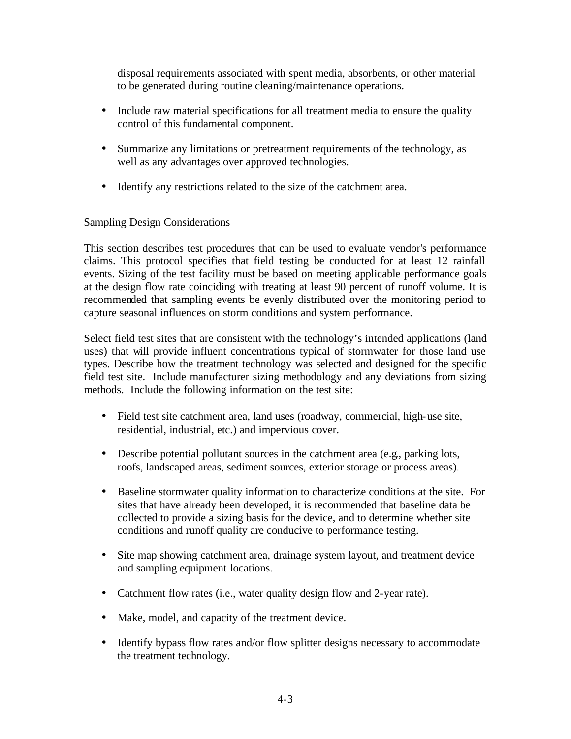disposal requirements associated with spent media, absorbents, or other material to be generated during routine cleaning/maintenance operations.

- Include raw material specifications for all treatment media to ensure the quality control of this fundamental component.
- Summarize any limitations or pretreatment requirements of the technology, as well as any advantages over approved technologies.
- Identify any restrictions related to the size of the catchment area.

### Sampling Design Considerations

This section describes test procedures that can be used to evaluate vendor's performance claims. This protocol specifies that field testing be conducted for at least 12 rainfall events. Sizing of the test facility must be based on meeting applicable performance goals at the design flow rate coinciding with treating at least 90 percent of runoff volume. It is recommended that sampling events be evenly distributed over the monitoring period to capture seasonal influences on storm conditions and system performance.

Select field test sites that are consistent with the technology's intended applications (land uses) that will provide influent concentrations typical of stormwater for those land use types. Describe how the treatment technology was selected and designed for the specific field test site. Include manufacturer sizing methodology and any deviations from sizing methods. Include the following information on the test site:

- Field test site catchment area, land uses (roadway, commercial, high-use site, residential, industrial, etc.) and impervious cover.
- Describe potential pollutant sources in the catchment area (e.g., parking lots, roofs, landscaped areas, sediment sources, exterior storage or process areas).
- Baseline stormwater quality information to characterize conditions at the site. For sites that have already been developed, it is recommended that baseline data be collected to provide a sizing basis for the device, and to determine whether site conditions and runoff quality are conducive to performance testing.
- Site map showing catchment area, drainage system layout, and treatment device and sampling equipment locations.
- Catchment flow rates (i.e., water quality design flow and 2-year rate).
- Make, model, and capacity of the treatment device.
- Identify bypass flow rates and/or flow splitter designs necessary to accommodate the treatment technology.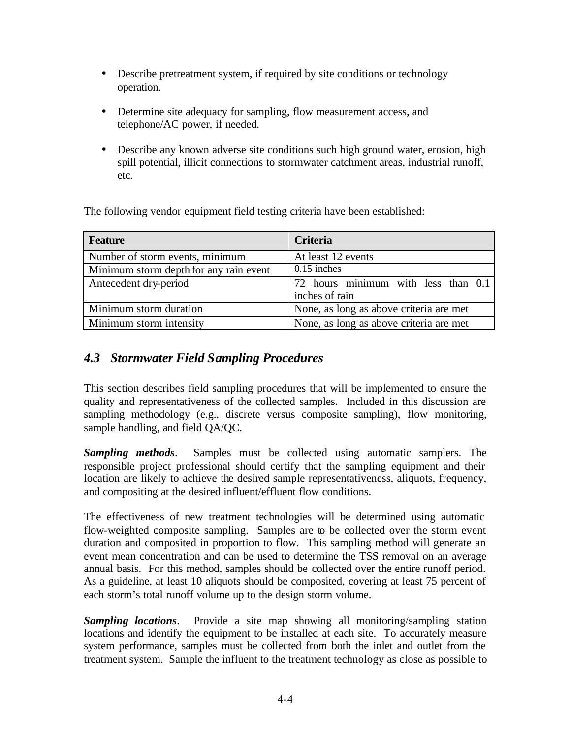- Describe pretreatment system, if required by site conditions or technology operation.
- Determine site adequacy for sampling, flow measurement access, and telephone/AC power, if needed.
- Describe any known adverse site conditions such high ground water, erosion, high spill potential, illicit connections to stormwater catchment areas, industrial runoff, etc.

The following vendor equipment field testing criteria have been established:

| <b>Feature</b>                         | Criteria                                         |
|----------------------------------------|--------------------------------------------------|
| Number of storm events, minimum        | At least 12 events                               |
| Minimum storm depth for any rain event | $0.15$ inches                                    |
| Antecedent dry-period                  | $\overline{72}$ hours minimum with less than 0.1 |
|                                        | inches of rain                                   |
| Minimum storm duration                 | None, as long as above criteria are met          |
| Minimum storm intensity                | None, as long as above criteria are met          |

# *4.3 Stormwater Field Sampling Procedures*

This section describes field sampling procedures that will be implemented to ensure the quality and representativeness of the collected samples. Included in this discussion are sampling methodology (e.g., discrete versus composite sampling), flow monitoring, sample handling, and field QA/QC.

*Sampling methods*. Samples must be collected using automatic samplers. The responsible project professional should certify that the sampling equipment and their location are likely to achieve the desired sample representativeness, aliquots, frequency, and compositing at the desired influent/effluent flow conditions.

The effectiveness of new treatment technologies will be determined using automatic flow-weighted composite sampling. Samples are to be collected over the storm event duration and composited in proportion to flow. This sampling method will generate an event mean concentration and can be used to determine the TSS removal on an average annual basis. For this method, samples should be collected over the entire runoff period. As a guideline, at least 10 aliquots should be composited, covering at least 75 percent of each storm's total runoff volume up to the design storm volume.

*Sampling locations*. Provide a site map showing all monitoring/sampling station locations and identify the equipment to be installed at each site. To accurately measure system performance, samples must be collected from both the inlet and outlet from the treatment system. Sample the influent to the treatment technology as close as possible to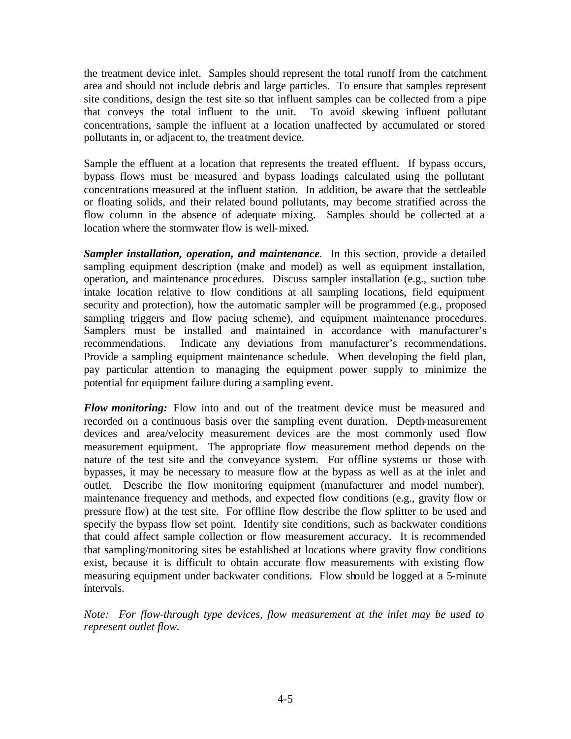the treatment device inlet. Samples should represent the total runoff from the catchment area and should not include debris and large particles. To ensure that samples represent site conditions, design the test site so that influent samples can be collected from a pipe that conveys the total influent to the unit. To avoid skewing influent pollutant concentrations, sample the influent at a location unaffected by accumulated or stored pollutants in, or adjacent to, the treatment device.

Sample the effluent at a location that represents the treated effluent. If bypass occurs, bypass flows must be measured and bypass loadings calculated using the pollutant concentrations measured at the influent station. In addition, be aware that the settleable or floating solids, and their related bound pollutants, may become stratified across the flow column in the absence of adequate mixing. Samples should be collected at a location where the stormwater flow is well-mixed.

*Sampler installation, operation, and maintenance*. In this section, provide a detailed sampling equipment description (make and model) as well as equipment installation, operation, and maintenance procedures. Discuss sampler installation (e.g., suction tube intake location relative to flow conditions at all sampling locations, field equipment security and protection), how the automatic sampler will be programmed (e.g., proposed sampling triggers and flow pacing scheme), and equipment maintenance procedures. Samplers must be installed and maintained in accordance with manufacturer's recommendations. Indicate any deviations from manufacturer's recommendations. Provide a sampling equipment maintenance schedule. When developing the field plan, pay particular attention to managing the equipment power supply to minimize the potential for equipment failure during a sampling event.

*Flow monitoring:* Flow into and out of the treatment device must be measured and recorded on a continuous basis over the sampling event duration. Depth-measurement devices and area/velocity measurement devices are the most commonly used flow measurement equipment. The appropriate flow measurement method depends on the nature of the test site and the conveyance system. For offline systems or those with bypasses, it may be necessary to measure flow at the bypass as well as at the inlet and outlet. Describe the flow monitoring equipment (manufacturer and model number), maintenance frequency and methods, and expected flow conditions (e.g., gravity flow or pressure flow) at the test site. For offline flow describe the flow splitter to be used and specify the bypass flow set point. Identify site conditions, such as backwater conditions that could affect sample collection or flow measurement accuracy. It is recommended that sampling/monitoring sites be established at locations where gravity flow conditions exist, because it is difficult to obtain accurate flow measurements with existing flow measuring equipment under backwater conditions. Flow should be logged at a 5-minute intervals.

*Note: For flow-through type devices, flow measurement at the inlet may be used to represent outlet flow.*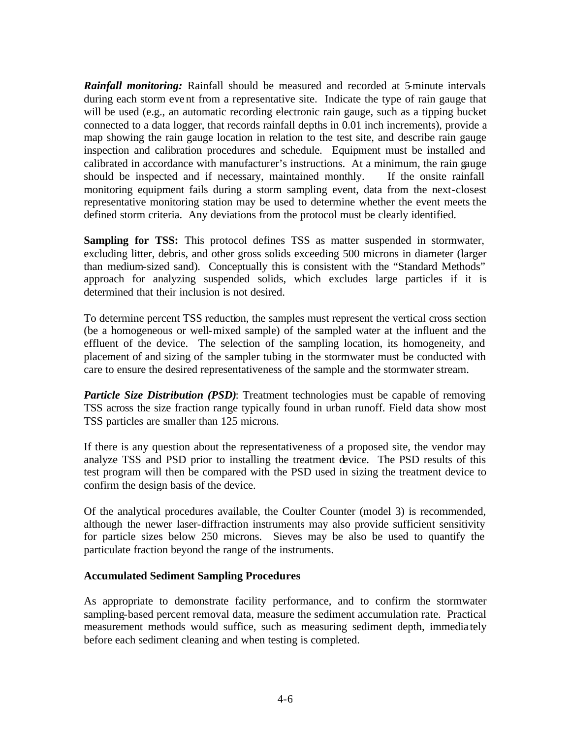**Rainfall monitoring:** Rainfall should be measured and recorded at 5-minute intervals during each storm event from a representative site. Indicate the type of rain gauge that will be used (e.g., an automatic recording electronic rain gauge, such as a tipping bucket connected to a data logger, that records rainfall depths in 0.01 inch increments), provide a map showing the rain gauge location in relation to the test site, and describe rain gauge inspection and calibration procedures and schedule. Equipment must be installed and calibrated in accordance with manufacturer's instructions. At a minimum, the rain gauge should be inspected and if necessary, maintained monthly. If the onsite rainfall monitoring equipment fails during a storm sampling event, data from the next-closest representative monitoring station may be used to determine whether the event meets the defined storm criteria. Any deviations from the protocol must be clearly identified.

**Sampling for TSS:** This protocol defines TSS as matter suspended in stormwater, excluding litter, debris, and other gross solids exceeding 500 microns in diameter (larger than medium-sized sand). Conceptually this is consistent with the "Standard Methods" approach for analyzing suspended solids, which excludes large particles if it is determined that their inclusion is not desired.

To determine percent TSS reduction, the samples must represent the vertical cross section (be a homogeneous or well-mixed sample) of the sampled water at the influent and the effluent of the device. The selection of the sampling location, its homogeneity, and placement of and sizing of the sampler tubing in the stormwater must be conducted with care to ensure the desired representativeness of the sample and the stormwater stream.

*Particle Size Distribution (PSD)*: Treatment technologies must be capable of removing TSS across the size fraction range typically found in urban runoff. Field data show most TSS particles are smaller than 125 microns.

If there is any question about the representativeness of a proposed site, the vendor may analyze TSS and PSD prior to installing the treatment device. The PSD results of this test program will then be compared with the PSD used in sizing the treatment device to confirm the design basis of the device.

Of the analytical procedures available, the Coulter Counter (model 3) is recommended, although the newer laser-diffraction instruments may also provide sufficient sensitivity for particle sizes below 250 microns. Sieves may be also be used to quantify the particulate fraction beyond the range of the instruments.

#### **Accumulated Sediment Sampling Procedures**

As appropriate to demonstrate facility performance, and to confirm the stormwater sampling-based percent removal data, measure the sediment accumulation rate. Practical measurement methods would suffice, such as measuring sediment depth, immedia tely before each sediment cleaning and when testing is completed.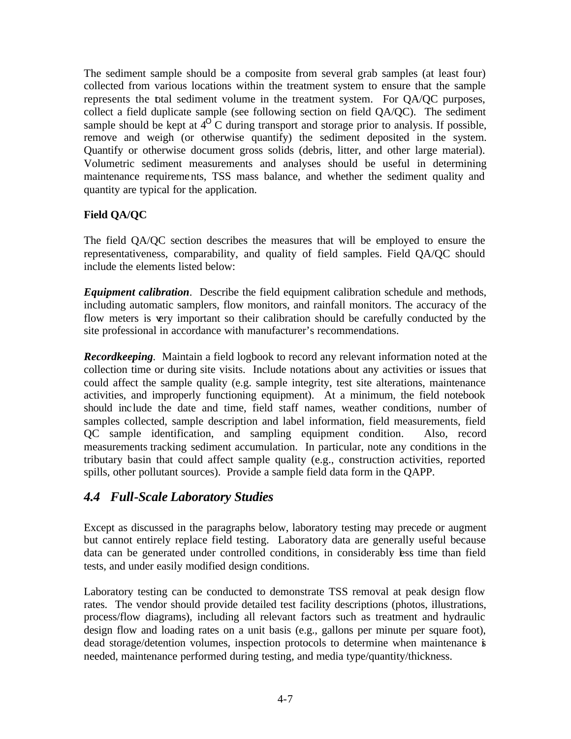The sediment sample should be a composite from several grab samples (at least four) collected from various locations within the treatment system to ensure that the sample represents the total sediment volume in the treatment system. For QA/QC purposes, collect a field duplicate sample (see following section on field QA/QC). The sediment sample should be kept at  $4^{O}$  C during transport and storage prior to analysis. If possible, remove and weigh (or otherwise quantify) the sediment deposited in the system. Quantify or otherwise document gross solids (debris, litter, and other large material). Volumetric sediment measurements and analyses should be useful in determining maintenance requirements, TSS mass balance, and whether the sediment quality and quantity are typical for the application.

### **Field QA/QC**

The field QA/QC section describes the measures that will be employed to ensure the representativeness, comparability, and quality of field samples. Field QA/QC should include the elements listed below:

*Equipment calibration*. Describe the field equipment calibration schedule and methods, including automatic samplers, flow monitors, and rainfall monitors. The accuracy of the flow meters is very important so their calibration should be carefully conducted by the site professional in accordance with manufacturer's recommendations.

*Recordkeeping.* Maintain a field logbook to record any relevant information noted at the collection time or during site visits. Include notations about any activities or issues that could affect the sample quality (e.g. sample integrity, test site alterations, maintenance activities, and improperly functioning equipment). At a minimum, the field notebook should include the date and time, field staff names, weather conditions, number of samples collected, sample description and label information, field measurements, field QC sample identification, and sampling equipment condition. Also, record measurements tracking sediment accumulation. In particular, note any conditions in the tributary basin that could affect sample quality (e.g., construction activities, reported spills, other pollutant sources). Provide a sample field data form in the QAPP.

## *4.4 Full-Scale Laboratory Studies*

Except as discussed in the paragraphs below, laboratory testing may precede or augment but cannot entirely replace field testing. Laboratory data are generally useful because data can be generated under controlled conditions, in considerably less time than field tests, and under easily modified design conditions.

Laboratory testing can be conducted to demonstrate TSS removal at peak design flow rates. The vendor should provide detailed test facility descriptions (photos, illustrations, process/flow diagrams), including all relevant factors such as treatment and hydraulic design flow and loading rates on a unit basis (e.g., gallons per minute per square foot), dead storage/detention volumes, inspection protocols to determine when maintenance is needed, maintenance performed during testing, and media type/quantity/thickness.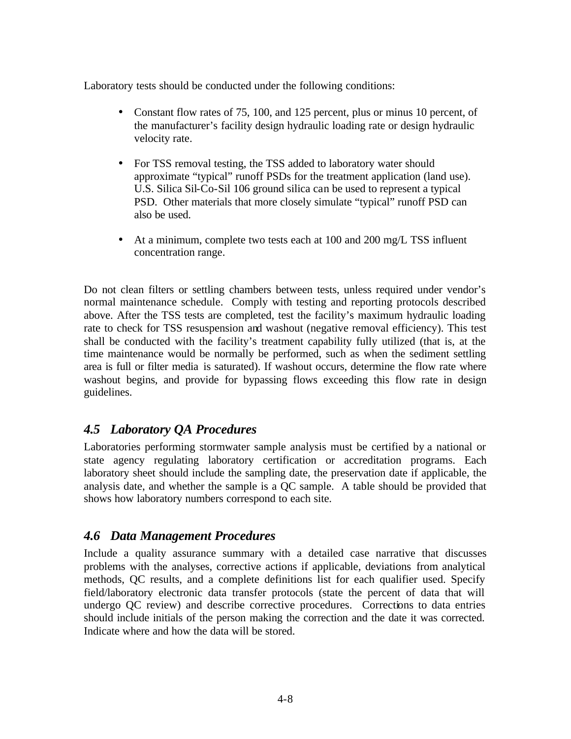Laboratory tests should be conducted under the following conditions:

- Constant flow rates of 75, 100, and 125 percent, plus or minus 10 percent, of the manufacturer's facility design hydraulic loading rate or design hydraulic velocity rate.
- For TSS removal testing, the TSS added to laboratory water should approximate "typical" runoff PSDs for the treatment application (land use). U.S. Silica Sil-Co-Sil 106 ground silica can be used to represent a typical PSD. Other materials that more closely simulate "typical" runoff PSD can also be used.
- At a minimum, complete two tests each at 100 and 200 mg/L TSS influent concentration range.

Do not clean filters or settling chambers between tests, unless required under vendor's normal maintenance schedule. Comply with testing and reporting protocols described above. After the TSS tests are completed, test the facility's maximum hydraulic loading rate to check for TSS resuspension and washout (negative removal efficiency). This test shall be conducted with the facility's treatment capability fully utilized (that is, at the time maintenance would be normally be performed, such as when the sediment settling area is full or filter media is saturated). If washout occurs, determine the flow rate where washout begins, and provide for bypassing flows exceeding this flow rate in design guidelines.

## *4.5 Laboratory QA Procedures*

Laboratories performing stormwater sample analysis must be certified by a national or state agency regulating laboratory certification or accreditation programs. Each laboratory sheet should include the sampling date, the preservation date if applicable, the analysis date, and whether the sample is a QC sample. A table should be provided that shows how laboratory numbers correspond to each site.

## *4.6 Data Management Procedures*

Include a quality assurance summary with a detailed case narrative that discusses problems with the analyses, corrective actions if applicable, deviations from analytical methods, QC results, and a complete definitions list for each qualifier used. Specify field/laboratory electronic data transfer protocols (state the percent of data that will undergo QC review) and describe corrective procedures. Corrections to data entries should include initials of the person making the correction and the date it was corrected. Indicate where and how the data will be stored.